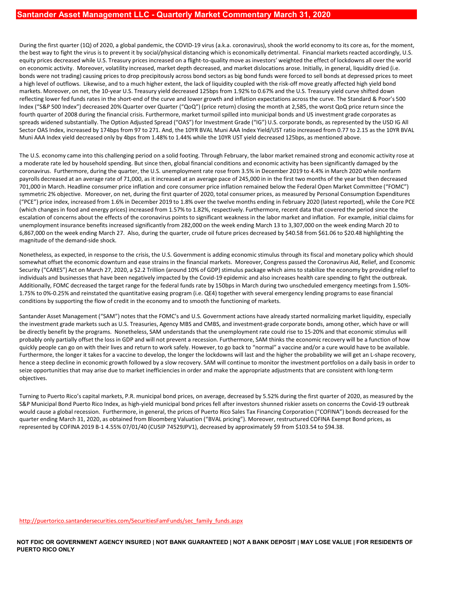During the first quarter (1Q) of 2020, a global pandemic, the COVID-19 virus (a.k.a. coronavirus), shook the world economy to its core as, for the moment, the best way to fight the virus is to prevent it by social/physical distancing which is economically detrimental. Financial markets reacted accordingly, U.S. equity prices decreased while U.S. Treasury prices increased on a flight-to-quality move as investors' weighted the effect of lockdowns all over the world on economic activity. Moreover, volatility increased, market depth decreased, and market dislocations arose. Initially, in general, liquidity dried (i.e. bonds were not trading) causing prices to drop precipitously across bond sectors as big bond funds were forced to sell bonds at depressed prices to meet a high level of outflows. Likewise, and to a much higher extent, the lack of liquidity coupled with the risk-off move greatly affected high yield bond markets. Moreover, on net, the 10-year U.S. Treasury yield decreased 125bps from 1.92% to 0.67% and the U.S. Treasury yield curve shifted down **Santander Asset Management LLC - Quarterly Market Commentary March 31, 2020**<br>During the first quarter (1Q) of 2020, a global pandemic, the COVID-19 virus (a.k.a. coronavirus), shook the world economy to its core as, for t Index ("S&P 500 Index") decreased 20% Quarter over Quarter ("QoQ") (price return) closing the month at 2,585, the worst QoQ price return since the fourth quarter of 2008 during the financial crisis. Furthermore, market turmoil spilled into municipal bonds and US investment grade corporates as spreads widened substantially. The Option Adjusted Spread ("OAS") for Investment Grade ("IG") U.S. corporate bonds, as represented by the USD IG All Sector OAS Index, increased by 174bps from 97 to 271. And, the 10YR BVAL Muni AAA Index Yield/UST ratio increased from 0.77 to 2.15 as the 10YR BVAL Muni AAA Index yield decreased only by 4bps from 1.48% to 1.44% while the 10YR UST yield decreased 125bps, as mentioned above. **Bantander Asset Management LLC - Quarterly Market Commentary March 31, 2020**<br>During the first quarter (101) d12020, a global pandemic, the COVID-19 virus (a.k.a. coronavirus), shook the word economy to its core as, for th **Bantander Asset Management LLC - Quarterly Market Commentary March 31, 2020**<br>
During the first quarter [10] of 2020, a global pandemic, the COVID-19 winx (a.k.a. coronavirus), shook the world economy to its core as, for **Exhibition 2.52523 (which cold and energy price)** increased from 1.57% to 1.82%, respectively. Furthermore, recent data that covered the period of the state of the connectively. The best was confident of the fille of the Buring the first quarter (1Q) et 3020, a global annieme, the COVID-19 virus (a.k.a. contravirus), shook the world economic wite to see as for the energy of the coronavirus points to the energy of the energy of the energy o During the first quarter (1Q) of 2020, a gobal pandenc, the COVD-19 wins (a) a, a convariently insure the theoretic significantly insure the theoretic streased scenaring present in the present instrument. Financial present

a moderate rate led by household spending. But since then, global financial conditions and economic activity has been significantly damaged by the coronavirus. Furthermore, during the quarter, the U.S. unemployment rate rose from 3.5% in December 2019 to 4.4% in March 2020 while nonfarm 701,000 in March. Headline consumer price inflation and core consumer price inflation remained below the Federal Open Market Committee ("FOMC") symmetric 2% objective. Moreover, on net, during the first quarter of 2020, total consumer prices, as measured by Personal Consumption Expenditures ("PCE") price index, increased from 1.6% in December 2019 to 1.8% over the twelve months ending in February 2020 (latest reported), while the Core PCE (which changes in food and energy prices) increased from 1.57% to 1.82% 6,867,000 on the week ending March 27. Also, during the quarter, crude oil future prices decreased by \$40.58 from \$61.06 to \$20.48 highlighting the magnitude of the demand-side shock. on economic activity. Moreve, walattifit) incereased, methel the financial markets. Moreover, congress passed the economic downturn and exonomic downturn and exonomic downto the economic strains in the economic downtown an

Nonetheless, as expected, in response to the crisis, the U.S. Government is adding economic stimulus through its fiscal and monetary policy which should Security ("CARES") Act on March 27, 2020, a \$2.2 Trillion (around 10% of GDP) stimulus package which aims to stabilize the economy by providing relief to individuals and businesses that have been negatively impacted by the Covid-19 epidemic and also increases health care spending to fight the outbreak. Additionally, FOMC decreased the target range for the federal funds rate by 150bps in March during two unscheduled emergency meetings from 1.50%- 1.75% to 0%-0.25% and reinstated the quantitative easing program (i.e. QE4) together with several emergency lending programs to ease financial conditions by supporting the flow of credit in the economy and to smooth the functioning of markets.

Santander Asset Management ("SAM") notes that the FOMC's and U.S. Government actions have already started normalizing market liquidity, especially the investment grade markets such as U.S. Treasuries, Agency MBS and CMBS, and investment-grade corporate bonds, among other, which have or will be directly benefit by the programs. Nonetheless, SAM understands that the unemployment rate could rise to 15-20% and that economic stimulus will probably only partially offset the loss in GDP and will not prevent a recession. Furthermore, SAM thinks the economic recovery will be a function of how quickly people can go on with their lives and return to work safely. However, to go back to "normal" a vaccine and/or a cure would have to be available. Furthermore, the longer it takes for a vaccine to develop, the longer the lockdowns will last and the higher the probability we will get an L-shape recovery, hence a steep decline in economic growth followed by a slow recovery. SAM will continue to monitor the investment portfolios on a daily basis in order to seize opportunities that may arise due to market inefficiencies in order and make the appropriate adjustments that are consistent with long-term objectives. ("FCC) pixelines, increased for the Rico CPS D10 a DE was the twele months ending in February 2020 (alset legend to the CNI) and the CNI) and the CNI) and the CNI) and the CNI) and the CNI) and the CNI) and the CNI) and t

S&P Municipal Bond Puerto Rico Index, as high-yield municipal bond prices fell after investors shunned riskier assets on concerns the Covid-19 outbreak would cause a global recession. Furthermore, in general, the prices of Puerto Rico Sales Tax Financing Corporation ("COFINA") bonds decreased for the quarter ending March 31, 2020, as obtained from Bloomberg Valuation ("BVAL pricing"). Moreover, restructured COFINA Exempt Bond prices, as represented by COFINA 2019 B-1 4.55% 07/01/40 (CUSIP 74529JPV1), decreased by approximately \$9 from \$103.54 to \$94.38.

http://puertorico.santandersecurities.com/SecuritiesFamFunds/sec\_family\_funds.aspx

NOT FDIC OR GOVERNMENT AGENCY INSURED | NOT BANK GUARANTEED | NOT A BANK DEPOSIT | MAY LOSE VALUE | FOR RESIDENTS OF PUERTO RICO ONLY